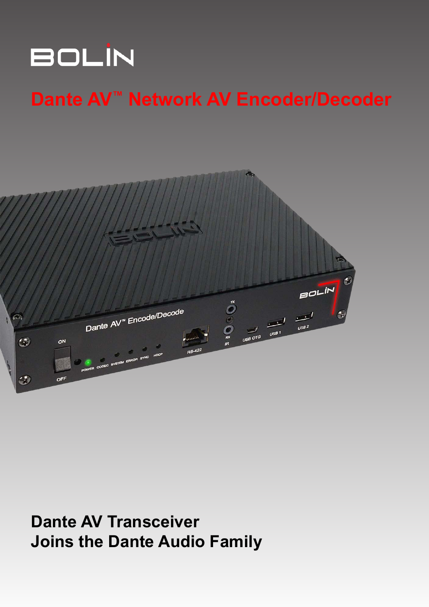

**Dante AV™ Network AV Encoder/Decoder**



**Dante AV Transceiver Joins the Dante Audio Family**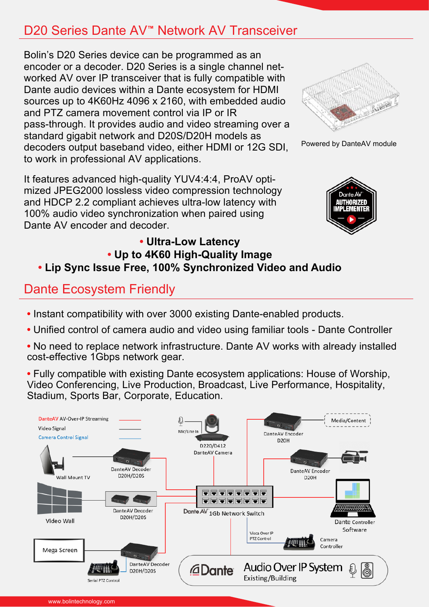## D20 Series Dante AV**™** Network AV Transceiver

Bolin's D20 Series device can be programmed as an encoder or a decoder. D20 Series is a single channel networked AV over IP transceiver that is fully compatible with Dante audio devices within a Dante ecosystem for HDMI sources up to 4K60Hz 4096 x 2160, with embedded audio and PTZ camera movement control via IP or IR pass-through. It provides audio and video streaming over a standard gigabit network and D20S/D20H models as decoders output baseband video, either HDMI or 12G SDI, to work in professional AV applications.

It features advanced high-quality YUV4:4:4, ProAV optimized JPEG2000 lossless video compression technology and HDCP 2.2 compliant achieves ultra-low latency with 100% audio video synchronization when paired using Dante AV encoder and decoder.



Powered by DanteAV module



## **• Ultra-Low Latency • Up to 4K60 High-Quality Image**

**• Lip Sync Issue Free, 100% Synchronized Video and Audio**

## Dante Ecosystem Friendly

- **•** Instant compatibility with over 3000 existing Dante-enabled products.
- **•** Unified control of camera audio and video using familiar tools Dante Controller
- **•** No need to replace network infrastructure. Dante AV works with already installed cost-effective 1Gbps network gear.
- **•** Fully compatible with existing Dante ecosystem applications: House of Worship, Video Conferencing, Live Production, Broadcast, Live Performance, Hospitality, Stadium, Sports Bar, Corporate, Education.

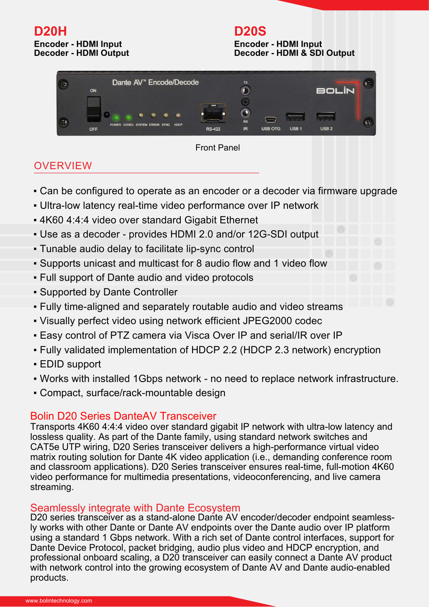# **D20H D20S Encoder - HDMI Input Encoder - HDMI Input**

**Decoder - HDMI & SDI Output** 



Front Panel

## **OVERVIEW**

- Can be configured to operate as an encoder or a decoder via firmware upgrade
- Ultra-low latency real-time video performance over IP network
- 4K60 4:4:4 video over standard Gigabit Ethernet
- Use as a decoder provides HDMI 2.0 and/or 12G-SDI output
- Tunable audio delay to facilitate lip-sync control
- Supports unicast and multicast for 8 audio flow and 1 video flow
- Full support of Dante audio and video protocols
- Supported by Dante Controller
- Fully time-aligned and separately routable audio and video streams
- Visually perfect video using network efficient JPEG2000 codec
- Easy control of PTZ camera via Visca Over IP and serial/IR over IP
- Fully validated implementation of HDCP 2.2 (HDCP 2.3 network) encryption
- EDID support
- Works with installed 1Gbps network no need to replace network infrastructure.
- Compact, surface/rack-mountable design

#### Bolin D20 Series DanteAV Transceiver

Transports 4K60 4:4:4 video over standard gigabit IP network with ultra-low latency and lossless quality. As part of the Dante family, using standard network switches and CAT5e UTP wiring, D20 Series transceiver delivers a high-performance virtual video matrix routing solution for Dante 4K video application (i.e., demanding conference room and classroom applications). D20 Series transceiver ensures real-time, full-motion 4K60 video performance for multimedia presentations, videoconferencing, and live camera streaming.

#### Seamlessly integrate with Dante Ecosystem

D20 series transceiver as a stand-alone Dante AV encoder/decoder endpoint seamlessly works with other Dante or Dante AV endpoints over the Dante audio over IP platform using a standard 1 Gbps network. With a rich set of Dante control interfaces, support for Dante Device Protocol, packet bridging, audio plus video and HDCP encryption, and professional onboard scaling, a D20 transceiver can easily connect a Dante AV product with network control into the growing ecosystem of Dante AV and Dante audio-enabled products.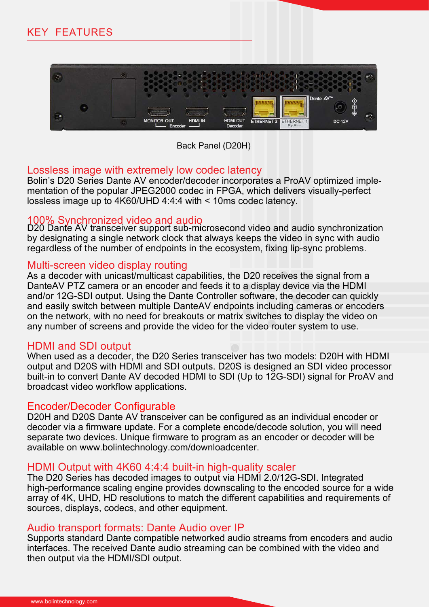

Back Panel (D20H)

#### Lossless image with extremely low codec latency

Bolin's D20 Series Dante AV encoder/decoder incorporates a ProAV optimized implementation of the popular JPEG2000 codec in FPGA, which delivers visually-perfect lossless image up to 4K60/UHD 4:4:4 with < 10ms codec latency.

#### 100% Synchronized video and audio

D20 Dante AV transceiver support sub-microsecond video and audio synchronization by designating a single network clock that always keeps the video in sync with audio regardless of the number of endpoints in the ecosystem, fixing lip-sync problems.

#### Multi-screen video display routing

As a decoder with unicast/multicast capabilities, the D20 receives the signal from a DanteAV PTZ camera or an encoder and feeds it to a display device via the HDMI and/or 12G-SDI output. Using the Dante Controller software, the decoder can quickly and easily switch between multiple DanteAV endpoints including cameras or encoders on the network, with no need for breakouts or matrix switches to display the video on any number of screens and provide the video for the video router system to use.

#### HDMI and SDI output

When used as a decoder, the D20 Series transceiver has two models: D20H with HDMI output and D20S with HDMI and SDI outputs. D20S is designed an SDI video processor built-in to convert Dante AV decoded HDMI to SDI (Up to 12G-SDI) signal for ProAV and broadcast video workflow applications.

#### Encoder/Decoder Configurable

D20H and D20S Dante AV transceiver can be configured as an individual encoder or decoder via a firmware update. For a complete encode/decode solution, you will need separate two devices. Unique firmware to program as an encoder or decoder will be available on www.bolintechnology.com/downloadcenter.

#### HDMI Output with 4K60 4:4:4 built-in high-quality scaler

The D20 Series has decoded images to output via HDMI 2.0/12G-SDI. Integrated high-performance scaling engine provides downscaling to the encoded source for a wide array of 4K, UHD, HD resolutions to match the different capabilities and requirements of sources, displays, codecs, and other equipment.

#### Audio transport formats: Dante Audio over IP

Supports standard Dante compatible networked audio streams from encoders and audio interfaces. The received Dante audio streaming can be combined with the video and then output via the HDMI/SDI output.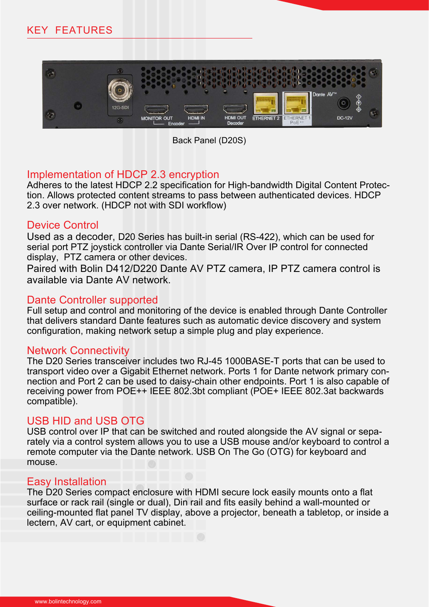

Back Panel (D20S)

## Implementation of HDCP 2.3 encryption

Adheres to the latest HDCP 2.2 specification for High-bandwidth Digital Content Protection. Allows protected content streams to pass between authenticated devices. HDCP 2.3 over network. (HDCP not with SDI workflow)

## Device Control

Used as a decoder, D20 Series has built-in serial (RS-422), which can be used for serial port PTZ joystick controller via Dante Serial/IR Over IP control for connected display, PTZ camera or other devices.

Paired with Bolin D412/D220 Dante AV PTZ camera, IP PTZ camera control is available via Dante AV network.

### Dante Controller supported

Full setup and control and monitoring of the device is enabled through Dante Controller that delivers standard Dante features such as automatic device discovery and system configuration, making network setup a simple plug and play experience.

#### Network Connectivity

The D20 Series transceiver includes two RJ-45 1000BASE-T ports that can be used to transport video over a Gigabit Ethernet network. Ports 1 for Dante network primary connection and Port 2 can be used to daisy-chain other endpoints. Port 1 is also capable of receiving power from POE++ IEEE 802.3bt compliant (POE+ IEEE 802.3at backwards compatible).

#### USB HID and USB OTG

USB control over IP that can be switched and routed alongside the AV signal or separately via a control system allows you to use a USB mouse and/or keyboard to control a remote computer via the Dante network. USB On The Go (OTG) for keyboard and mouse.

#### Easy Installation

The D20 Series compact enclosure with HDMI secure lock easily mounts onto a flat surface or rack rail (single or dual), Din rail and fits easily behind a wall-mounted or ceiling-mounted flat panel TV display, above a projector, beneath a tabletop, or inside a lectern, AV cart, or equipment cabinet.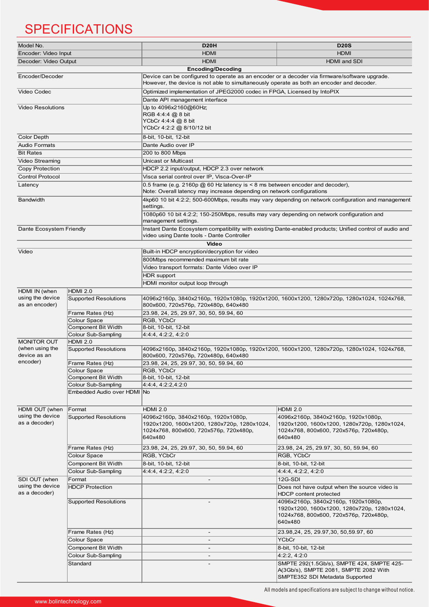# SPECIFICATIONS

| Model No.                                          |                                                    | <b>D20H</b>                                                                                                                                                                                | <b>D20S</b>                                                                                                                             |  |
|----------------------------------------------------|----------------------------------------------------|--------------------------------------------------------------------------------------------------------------------------------------------------------------------------------------------|-----------------------------------------------------------------------------------------------------------------------------------------|--|
| Encoder: Video Input                               |                                                    | <b>HDMI</b>                                                                                                                                                                                | <b>HDMI</b>                                                                                                                             |  |
| Decoder: Video Output                              |                                                    | <b>HDMI</b>                                                                                                                                                                                | <b>HDMI</b> and SDI                                                                                                                     |  |
|                                                    |                                                    | <b>Encoding/Decoding</b>                                                                                                                                                                   |                                                                                                                                         |  |
| Encoder/Decoder                                    |                                                    | Device can be configured to operate as an encoder or a decoder via firmware/software upgrade.<br>However, the device is not able to simultaneously operate as both an encoder and decoder. |                                                                                                                                         |  |
| Video Codec                                        |                                                    | Optimized implementation of JPEG2000 codec in FPGA, Licensed by IntoPIX                                                                                                                    |                                                                                                                                         |  |
|                                                    |                                                    | Dante API management interface                                                                                                                                                             |                                                                                                                                         |  |
| <b>Video Resolutions</b>                           |                                                    | Up to 4096x2160@60Hz;<br>RGB 4:4:4 @ 8 bit<br>YCbCr 4:4:4 @ 8 bit                                                                                                                          |                                                                                                                                         |  |
|                                                    |                                                    | YCbCr 4:2:2 @ 8/10/12 bit                                                                                                                                                                  |                                                                                                                                         |  |
| <b>Color Depth</b>                                 |                                                    | 8-bit, 10-bit, 12-bit                                                                                                                                                                      |                                                                                                                                         |  |
| <b>Audio Formats</b>                               |                                                    | Dante Audio over IP                                                                                                                                                                        |                                                                                                                                         |  |
| <b>Bit Rates</b>                                   |                                                    | 200 to 800 Mbps                                                                                                                                                                            |                                                                                                                                         |  |
| Video Streaming                                    |                                                    | Unicast or Multicast                                                                                                                                                                       |                                                                                                                                         |  |
| <b>Copy Protection</b>                             |                                                    | HDCP 2.2 input/output, HDCP 2.3 over network                                                                                                                                               |                                                                                                                                         |  |
| <b>Control Protocol</b>                            |                                                    | Visca serial control over IP, Visca-Over-IP                                                                                                                                                |                                                                                                                                         |  |
| Latency                                            |                                                    | 0.5 frame (e.g. 2160p $@$ 60 Hz latency is $<$ 8 ms between encoder and decoder),<br>Note: Overall latency may increase depending on network configurations                                |                                                                                                                                         |  |
| <b>Bandwidth</b>                                   |                                                    | 4kp60 10 bit 4:2:2; 500-600Mbps, results may vary depending on network configuration and management<br>settings.                                                                           |                                                                                                                                         |  |
|                                                    |                                                    | 1080p60 10 bit 4:2:2; 150-250Mbps, results may vary depending on network configuration and<br>management settings.                                                                         |                                                                                                                                         |  |
| Dante Ecosystem Friendly                           |                                                    | Instant Dante Ecosystem compatibility with existing Dante-enabled products; Unified control of audio and                                                                                   |                                                                                                                                         |  |
|                                                    |                                                    | video using Dante tools - Dante Controller                                                                                                                                                 |                                                                                                                                         |  |
|                                                    |                                                    | Video                                                                                                                                                                                      |                                                                                                                                         |  |
| Video                                              |                                                    | Built-in HDCP encryption/decryption for video                                                                                                                                              |                                                                                                                                         |  |
|                                                    |                                                    | 800Mbps recommended maximum bit rate                                                                                                                                                       |                                                                                                                                         |  |
|                                                    |                                                    | Video transport formats: Dante Video over IP                                                                                                                                               |                                                                                                                                         |  |
|                                                    |                                                    | HDR support<br>HDMI monitor output loop through                                                                                                                                            |                                                                                                                                         |  |
| HDMI IN (when                                      | HDMI 2.0                                           |                                                                                                                                                                                            |                                                                                                                                         |  |
| using the device                                   | <b>Supported Resolutions</b>                       | 4096x2160p, 3840x2160p, 1920x1080p, 1920x1200, 1600x1200, 1280x720p, 1280x1024, 1024x768,                                                                                                  |                                                                                                                                         |  |
| as an encoder)                                     |                                                    | 800x600, 720x576p, 720x480p, 640x480                                                                                                                                                       |                                                                                                                                         |  |
|                                                    | Frame Rates (Hz)<br>Colour Space                   | 23.98, 24, 25, 29.97, 30, 50, 59.94, 60<br>RGB, YCbCr                                                                                                                                      |                                                                                                                                         |  |
|                                                    | <b>Component Bit Width</b>                         | 8-bit, 10-bit, 12-bit                                                                                                                                                                      |                                                                                                                                         |  |
|                                                    | Colour Sub-Sampling                                | 4:4:4, 4:2:2, 4:2:0                                                                                                                                                                        |                                                                                                                                         |  |
| <b>MONITOR OUT</b>                                 | <b>HDMI 2.0</b>                                    |                                                                                                                                                                                            |                                                                                                                                         |  |
| (when using the<br>device as an                    | <b>Supported Resolutions</b>                       | 4096x2160p, 3840x2160p, 1920x1080p, 1920x1200, 1600x1200, 1280x720p, 1280x1024, 1024x768,<br>800x600, 720x576p, 720x480p, 640x480                                                          |                                                                                                                                         |  |
| encoder)                                           | Frame Rates (Hz)                                   | 23.98, 24, 25, 29.97, 30, 50, 59.94, 60                                                                                                                                                    |                                                                                                                                         |  |
|                                                    | <b>Colour Space</b>                                | RGB, YCbCr                                                                                                                                                                                 |                                                                                                                                         |  |
|                                                    | <b>Component Bit Width</b>                         | 8-bit, 10-bit, 12-bit                                                                                                                                                                      |                                                                                                                                         |  |
|                                                    | Colour Sub-Sampling<br>Embedded Audio over HDMI No | 4:4:4, 4:2:2,4:2:0                                                                                                                                                                         |                                                                                                                                         |  |
|                                                    |                                                    |                                                                                                                                                                                            |                                                                                                                                         |  |
| HDMI OUT (when                                     | Format                                             | <b>HDMI 2.0</b>                                                                                                                                                                            | <b>HDMI 2.0</b>                                                                                                                         |  |
| using the device<br>as a decoder)                  | <b>Supported Resolutions</b>                       | 4096x2160p, 3840x2160p, 1920x1080p,<br>1920x1200, 1600x1200, 1280x720p, 1280x1024,<br>1024x768, 800x600, 720x576p, 720x480p,<br>640x480                                                    | 4096x2160p, 3840x2160p, 1920x1080p,<br>1920x1200, 1600x1200, 1280x720p, 1280x1024,<br>1024x768, 800x600, 720x576p, 720x480p,<br>640x480 |  |
|                                                    | Frame Rates (Hz)                                   | 23.98, 24, 25, 29.97, 30, 50, 59.94, 60                                                                                                                                                    | 23.98, 24, 25, 29.97, 30, 50, 59.94, 60                                                                                                 |  |
|                                                    | Colour Space                                       | RGB, YCbCr                                                                                                                                                                                 | RGB, YCbCr                                                                                                                              |  |
|                                                    | <b>Component Bit Width</b>                         | 8-bit, 10-bit, 12-bit                                                                                                                                                                      | 8-bit, 10-bit, 12-bit                                                                                                                   |  |
|                                                    | Colour Sub-Sampling                                | 4:4:4, 4:2:2, 4:2:0                                                                                                                                                                        | 4:4:4, 4:2:2, 4:2:0                                                                                                                     |  |
| SDI OUT (when<br>using the device<br>as a decoder) | Format                                             | $\overline{\phantom{a}}$                                                                                                                                                                   | 12G-SDI                                                                                                                                 |  |
|                                                    | <b>HDCP Protection</b>                             |                                                                                                                                                                                            | Does not have output when the source video is<br>HDCP content protected                                                                 |  |
|                                                    | <b>Supported Resolutions</b>                       |                                                                                                                                                                                            | 4096x2160p, 3840x2160p, 1920x1080p,<br>1920x1200, 1600x1200, 1280x720p, 1280x1024,<br>1024x768, 800x600, 720x576p, 720x480p,<br>640x480 |  |
|                                                    | Frame Rates (Hz)                                   | $\overline{\phantom{a}}$                                                                                                                                                                   | 23.98,24, 25, 29.97,30, 50,59.97, 60                                                                                                    |  |
|                                                    | Colour Space                                       |                                                                                                                                                                                            | YCbCr                                                                                                                                   |  |
|                                                    | Component Bit Width                                | $\overline{\phantom{a}}$                                                                                                                                                                   | 8-bit, 10-bit, 12-bit                                                                                                                   |  |
|                                                    | Colour Sub-Sampling                                |                                                                                                                                                                                            | 4:2:2, 4:2:0                                                                                                                            |  |
|                                                    | Standard                                           |                                                                                                                                                                                            | SMPTE 292(1.5Gb/s), SMPTE 424, SMPTE 425-<br>A(3Gb/s), SMPTE 2081, SMPTE 2082 With<br>SMPTE352 SDI Metadata Supported                   |  |

All models and specifications are subject to change without notice.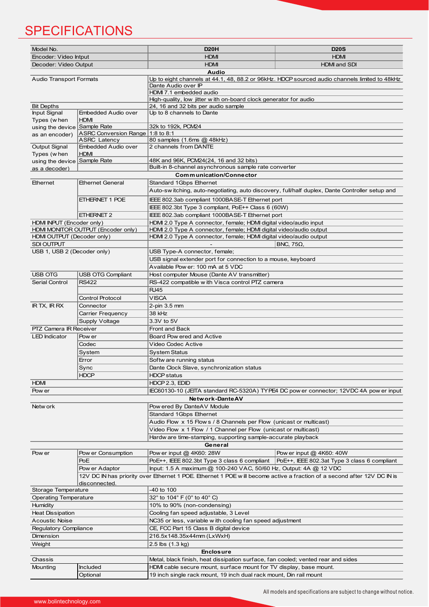## **SPECIFICATIONS**

| Model No.                                                              |                                                         | D <sub>20</sub> H                                                                                                                               | <b>D20S</b>                                  |  |  |
|------------------------------------------------------------------------|---------------------------------------------------------|-------------------------------------------------------------------------------------------------------------------------------------------------|----------------------------------------------|--|--|
| Encoder: Video Intput                                                  |                                                         | <b>HDMI</b>                                                                                                                                     | <b>HDMI</b>                                  |  |  |
| Decoder: Video Output                                                  |                                                         | <b>HDMI</b>                                                                                                                                     | <b>HDMI and SDI</b>                          |  |  |
|                                                                        |                                                         | <b>Audio</b>                                                                                                                                    |                                              |  |  |
| <b>Audio Transport Formats</b>                                         |                                                         | Up to eight channels at 44.1, 48, 88.2 or 96kHz. HDCP sourced audio channels limited to 48kHz<br>Dante Audio over IP<br>HDMI 7.1 embedded audio |                                              |  |  |
| <b>Bit Depths</b>                                                      |                                                         | High-quality, low jitter with on-board clock generator for audio<br>24, 16 and 32 bits per audio sample                                         |                                              |  |  |
| Input Signal<br>Types (when                                            | Embedded Audio over<br><b>HDMI</b>                      | Up to 8 channels to Dante                                                                                                                       |                                              |  |  |
| using the device<br>as an encoder)                                     | Sample Rate                                             | 32k to 192k, PCM24                                                                                                                              |                                              |  |  |
|                                                                        | ASRC Conversion Range 1:8 to 8:1<br><b>ASRC Latency</b> | 80 samples (1.6ms @ 48kHz)                                                                                                                      |                                              |  |  |
| Output Signal<br>Types (when                                           | Embedded Audio over<br><b>HDMI</b>                      | 2 channels from DANTE                                                                                                                           |                                              |  |  |
| using the device                                                       | Sample Rate<br>48K and 96K, PCM24(24, 16 and 32 bits)   |                                                                                                                                                 |                                              |  |  |
| Built-in 8-channel asynchronous sample rate converter<br>as a decoder) |                                                         |                                                                                                                                                 |                                              |  |  |
|                                                                        |                                                         | Communication/Connector                                                                                                                         |                                              |  |  |
| Ethernet                                                               | <b>Ethernet General</b>                                 | Standard 1Gbps Ethernet                                                                                                                         |                                              |  |  |
|                                                                        |                                                         | Auto-sw itching, auto-negotiating, auto discovery, full/half duplex, Dante Controller setup and                                                 |                                              |  |  |
|                                                                        | ETHERNET 1 POE                                          | IEEE 802.3ab compliant 1000BASE-T Ethernet port                                                                                                 |                                              |  |  |
|                                                                        |                                                         | IEEE 802.3bt Type 3 compliant, PoE++ Class 6 (60W)                                                                                              |                                              |  |  |
|                                                                        | ETHERNET 2                                              | IEEE 802.3ab compliant 1000BASE-T Ethernet port                                                                                                 |                                              |  |  |
| HDMI INPUT (Encoder only)                                              |                                                         | HDMI 2.0 Type A connector, female; HDMI digital video/audio input                                                                               |                                              |  |  |
| HDMI MONITOR OUTPUT (Encoder only)<br>HDMI OUTPUT (Decoder only)       |                                                         | HDMI 2.0 Type A connector, female; HDMI digital video/audio output<br>HDMI 2.0 Type A connector, female; HDMI digital video/audio output        |                                              |  |  |
| <b>SDI OUTPUT</b>                                                      |                                                         | BNC, $75\Omega$ ,                                                                                                                               |                                              |  |  |
| USB 1, USB 2 (Decoder only)                                            |                                                         | USB Type-A connector, female;                                                                                                                   |                                              |  |  |
|                                                                        |                                                         | USB signal extender port for connection to a mouse, keyboard                                                                                    |                                              |  |  |
|                                                                        |                                                         | Available Pow er: 100 mA at 5 VDC                                                                                                               |                                              |  |  |
| <b>USB OTG</b>                                                         | USB OTG Compliant                                       | Host computer Mouse (Dante AV transmitter)                                                                                                      |                                              |  |  |
| Serial Control                                                         | <b>RS422</b>                                            | RS-422 compatible w ith Visca control PTZ camera                                                                                                |                                              |  |  |
|                                                                        |                                                         | <b>RJ45</b>                                                                                                                                     |                                              |  |  |
|                                                                        | <b>Control Protocol</b>                                 | <b>VISCA</b>                                                                                                                                    |                                              |  |  |
| <b>IR TX, IR RX</b>                                                    | Connector                                               | 2-pin 3.5 mm                                                                                                                                    |                                              |  |  |
|                                                                        | Carrier Frequency                                       | 38 kHz                                                                                                                                          |                                              |  |  |
|                                                                        | Supply Voltage                                          | 3.3V to 5V                                                                                                                                      |                                              |  |  |
| <b>PTZ Camera IR Receiver</b>                                          |                                                         | Front and Back                                                                                                                                  |                                              |  |  |
| <b>LED</b> Indicator                                                   | Pow er                                                  | Board Pow ered and Active                                                                                                                       |                                              |  |  |
|                                                                        | Codec                                                   | Video Codec Active                                                                                                                              |                                              |  |  |
|                                                                        | System                                                  | <b>System Status</b>                                                                                                                            |                                              |  |  |
|                                                                        | Error                                                   | Softw are running status                                                                                                                        |                                              |  |  |
|                                                                        | Sync                                                    | Dante Clock Slave, synchronization status                                                                                                       |                                              |  |  |
|                                                                        | <b>HDCP</b>                                             | <b>HDCP</b> status                                                                                                                              |                                              |  |  |
| <b>HDMI</b>                                                            |                                                         | HDCP 2.3, EDID                                                                                                                                  |                                              |  |  |
| Pow er                                                                 |                                                         | IEC60130-10 (JEITA standard RC-5320A) TYPE4 DC pow er connector; 12VDC 4A pow er input                                                          |                                              |  |  |
| Network-DanteAV                                                        |                                                         |                                                                                                                                                 |                                              |  |  |
| Netw ork                                                               |                                                         | Pow ered By DanteAV Module                                                                                                                      |                                              |  |  |
|                                                                        |                                                         | Standard 1Gbps Ethernet                                                                                                                         |                                              |  |  |
|                                                                        |                                                         | Audio Flow x 15 Flow s / 8 Channels per Flow (unicast or multicast)                                                                             |                                              |  |  |
|                                                                        |                                                         | Video Flow x 1 Flow / 1 Channel per Flow (unicast or multicast)                                                                                 |                                              |  |  |
|                                                                        |                                                         | Hardw are time-stamping, supporting sample-accurate playback                                                                                    |                                              |  |  |
|                                                                        |                                                         | General                                                                                                                                         |                                              |  |  |
| Pow er                                                                 | Pow er Consumption                                      | Pow er input @ 4K60: 28W                                                                                                                        | Pow er input @ 4K60: 40W                     |  |  |
|                                                                        | PoE                                                     | PoE++, IEEE 802.3bt Type 3 class 6 compliant                                                                                                    | PoE++, IEEE 802.3at Type 3 class 6 compliant |  |  |
|                                                                        | Pow er Adaptor                                          | Input: 1.5 A maximum @ 100-240 VAC, 50/60 Hz, Output: 4A @ 12 VDC                                                                               |                                              |  |  |
|                                                                        |                                                         | 12V DC IN has priority over Ethernet 1 POE. Ethernet 1 POE w ill become active a fraction of a second after 12V DC IN is                        |                                              |  |  |
|                                                                        | disconnected.                                           |                                                                                                                                                 |                                              |  |  |
| Storage Temperature                                                    |                                                         | -40 to 100                                                                                                                                      |                                              |  |  |
| <b>Operating Temperature</b>                                           |                                                         | 32° to 104° F (0° to 40° C)                                                                                                                     |                                              |  |  |
| <b>Humidity</b>                                                        |                                                         | 10% to 90% (non-condensing)                                                                                                                     |                                              |  |  |
| <b>Heat Dissipation</b>                                                |                                                         | Cooling fan speed adjustable, 3 Level                                                                                                           |                                              |  |  |
| <b>Acoustic Noise</b>                                                  |                                                         | NC35 or less, variable with cooling fan speed adjustment                                                                                        |                                              |  |  |
| Regulatory Compliance                                                  |                                                         | CE, FCC Part 15 Class B digital device                                                                                                          |                                              |  |  |
| Dimension                                                              |                                                         | 216.5x148.35x44mm (LxWxH)                                                                                                                       |                                              |  |  |
| Weight<br>2.5 lbs (1.3 kg)                                             |                                                         |                                                                                                                                                 |                                              |  |  |
| <b>Enclosure</b>                                                       |                                                         |                                                                                                                                                 |                                              |  |  |
| Chassis                                                                |                                                         | Metal, black finish, heat dissipation surface, fan cooled; vented rear and sides                                                                |                                              |  |  |
| Mounting                                                               | <b>Included</b>                                         | HDMI cable secure mount, surface mount for TV display, base mount.                                                                              |                                              |  |  |
|                                                                        | Optional                                                | 19 inch single rack mount, 19 inch dual rack mount, Din rail mount                                                                              |                                              |  |  |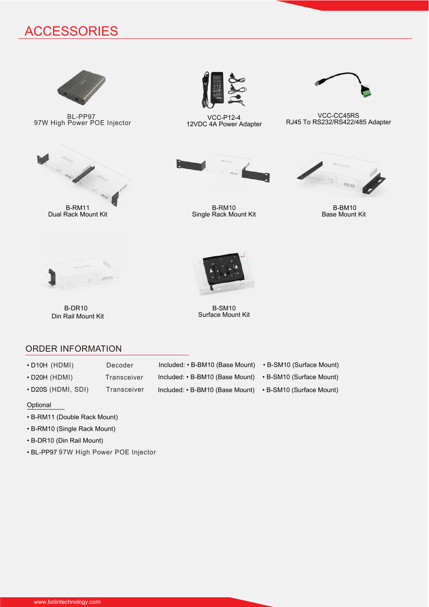## ACCESSORIES



BL-PP97 97W High Power POE Injector



Dual Rack Mount Kit



VCC-P12-4 12VDC 4A Power Adapter



B-RM10 Single Rack Mount Kit



VCC-CC45RS RJ45 To RS232/RS422/485 Adapter



B-BM10 Base Mount Kit



B-DR10 Din Rail Mount Kit



B-SM10 Surface Mount Kit

#### ORDER INFORMATION

- D10H (HDMI) Decoder
	-
	-
- D20S (HDMI, SDI) Transceiver
- 
- D20H (HDMI) Transceiver Included: B-BM10 (Base Mount) B-SM10 (Surface Mount)

Included: • B-BM10 (Base Mount)

- B-SM10 (Surface Mount)
- Included: B-BM10 (Base Mount) B-SM10 (Surface Mount)

#### **Optional**

- B-RM11 (Double Rack Mount)
- B-RM10 (Single Rack Mount)
- B-DR10 (Din Rail Mount)
- BL-PP97 97W High Power POE Injector